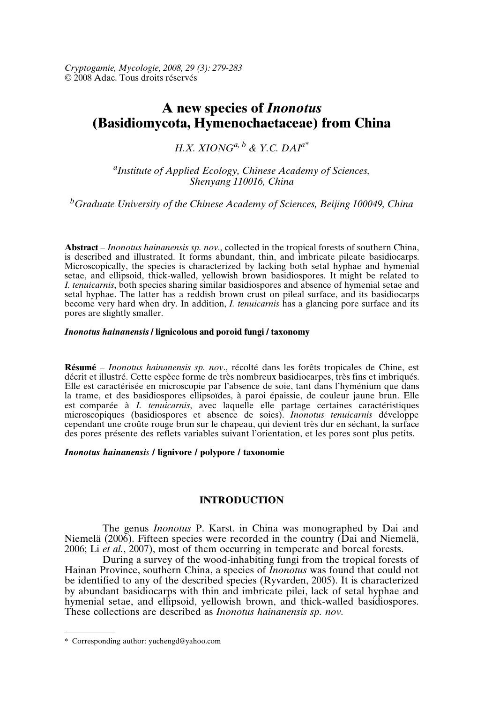*Cryptogamie, Mycologie, 2008, 29 (3): 279-283* © 2008 Adac. Tous droits réservés

# **A new species of** *Inonotus* **(Basidiomycota, Hymenochaetaceae) from China**

## *H.X. XIONG*<sup>*a*, *b*</sup> & *Y.C. DAI*<sup> $a^*$ </sup>

*a Institute of Applied Ecology, Chinese Academy of Sciences, Shenyang 110016, China*

*<sup>b</sup>Graduate University of the Chinese Academy of Sciences, Beijing 100049, China*

**Abstract** – *Inonotus hainanensis sp. nov.,* collected in the tropical forests of southern China, is described and illustrated. It forms abundant, thin, and imbricate pileate basidiocarps. Microscopically, the species is characterized by lacking both setal hyphae and hymenial setae, and ellipsoid, thick-walled, yellowish brown basidiospores. It might be related to *I. tenuicarnis*, both species sharing similar basidiospores and absence of hymenial setae and setal hyphae. The latter has a reddish brown crust on pileal surface, and its basidiocarps become very hard when dry. In addition, *I. tenuicarnis* has a glancing pore surface and its pores are slightly smaller.

### *Inonotus hainanensis* **/ lignicolous and poroid fungi / taxonomy**

**Résumé** – *Inonotus hainanensis sp. nov*., récolté dans les forêts tropicales de Chine, est décrit et illustré. Cette espèce forme de très nombreux basidiocarpes, très fins et imbriqués. Elle est caractérisée en microscopie par l'absence de soie, tant dans l'hyménium que dans la trame, et des basidiospores ellipsoïdes, à paroi épaissie, de couleur jaune brun. Elle est comparée à *I. tenuicarnis*, avec laquelle elle partage certaines caractéristiques microscopiques (basidiospores et absence de soies). *Inonotus tenuicarnis* développe cependant une croûte rouge brun sur le chapeau, qui devient très dur en séchant, la surface des pores présente des reflets variables suivant l'orientation, et les pores sont plus petits.

## *Inonotus hainanensis* **/ lignivore / polypore / taxonomie**

## **INTRODUCTION**

The genus *Inonotus* P. Karst. in China was monographed by Dai and Niemelä (2006). Fifteen species were recorded in the country (Dai and Niemelä, 2006; Li *et al.*, 2007), most of them occurring in temperate and boreal forests.

During a survey of the wood-inhabiting fungi from the tropical forests of Hainan Province, southern China, a species of *Inonotus* was found that could not be identified to any of the described species (Ryvarden, 2005). It is characterized by abundant basidiocarps with thin and imbricate pilei, lack of setal hyphae and hymenial setae, and ellipsoid, yellowish brown, and thick-walled basidiospores. These collections are described as *Inonotus hainanensis sp. nov.*

<sup>\*</sup> Corresponding author: yuchengd@yahoo.com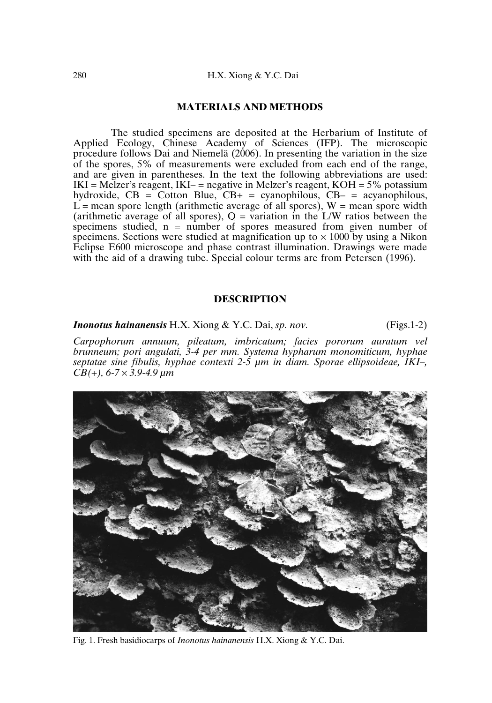## **MATERIALS AND METHODS**

The studied specimens are deposited at the Herbarium of Institute of Applied Ecology, Chinese Academy of Sciences (IFP). The microscopic procedure follows Dai and Niemelä (2006). In presenting the variation in the size of the spores, 5% of measurements were excluded from each end of the range, and are given in parentheses. In the text the following abbreviations are used:  $IKI = Melzer's reagent, IKI – negative in Melzer's reagent, KOH = 5% potassium$ hydroxide,  $CB = Cotton$  Blue,  $CB<sub>+</sub> = cyanophilous$ ,  $CB<sub>-</sub> = acvanophilous$ ,  $L$  = mean spore length (arithmetic average of all spores), W = mean spore width (arithmetic average of all spores),  $Q = \bar{v}$  variation in the L/W ratios between the specimens studied,  $n =$  number of spores measured from given number of specimens. Sections were studied at magnification up to  $\times$  1000 by using a Nikon Eclipse E600 microscope and phase contrast illumination. Drawings were made with the aid of a drawing tube. Special colour terms are from Petersen (1996).

## **DESCRIPTION**

*Inonotus hainanensis* H.X. Xiong & Y.C. Dai, *sp. nov.* (Figs.1-2)

*Carpophorum annuum, pileatum, imbricatum; facies pororum auratum vel brunneum; pori angulati, 3-4 per mm. Systema hypharum monomiticum, hyphae septatae sine fibulis, hyphae contexti 2-5 µm in diam. Sporae ellipsoideae, IKI–, CB(+), 6-7* × *3.9-4.9 µm*



Fig. 1. Fresh basidiocarps of *Inonotus hainanensis* H.X. Xiong & Y.C. Dai.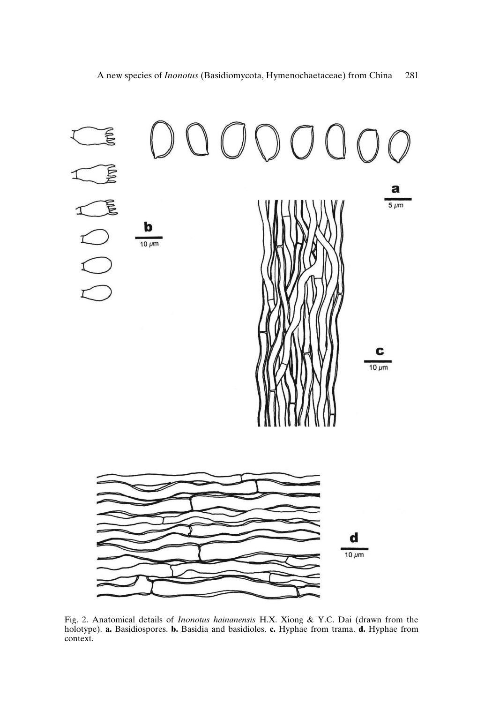

Fig. 2. Anatomical details of *Inonotus hainanensis* H.X. Xiong & Y.C. Dai (drawn from the holotype). **a.** Basidiospores. **b.** Basidia and basidioles. **c.** Hyphae from trama. **d.** Hyphae from context.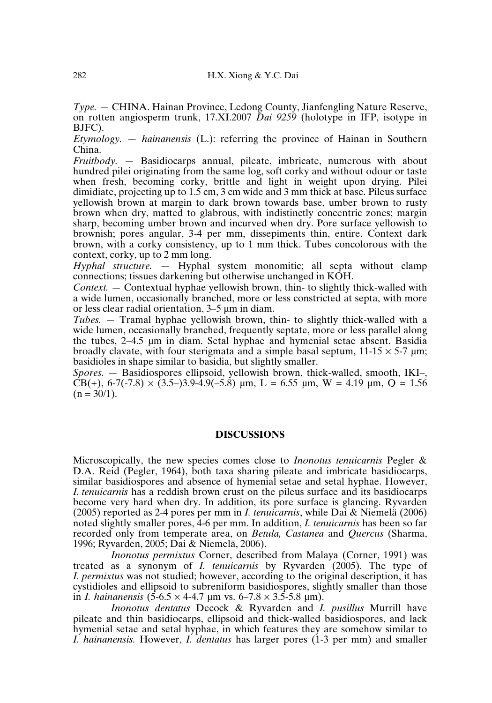*Type.* — CHINA. Hainan Province, Ledong County, Jianfengling Nature Reserve, on rotten angiosperm trunk, 17.XI.2007 *Dai 9259* (holotype in IFP, isotype in BJFC).

*Etymology. — hainanensis* (L.): referring the province of Hainan in Southern China.

*Fruitbody.* — Basidiocarps annual, pileate, imbricate, numerous with about hundred pilei originating from the same log, soft corky and without odour or taste when fresh, becoming corky, brittle and light in weight upon drying. Pilei dimidiate, projecting up to  $1.5$  cm, 3 cm wide and 3 mm thick at base. Pileus surface yellowish brown at margin to dark brown towards base, umber brown to rusty brown when dry, matted to glabrous, with indistinctly concentric zones; margin sharp, becoming umber brown and incurved when dry. Pore surface yellowish to brownish; pores angular, 3-4 per mm, dissepiments thin, entire. Context dark brown, with a corky consistency, up to 1 mm thick. Tubes concolorous with the context, corky, up to 2 mm long.

*Hyphal structure. —* Hyphal system monomitic; all septa without clamp connections; tissues darkening but otherwise unchanged in KOH.

*Context.* — Contextual hyphae yellowish brown, thin- to slightly thick-walled with a wide lumen, occasionally branched, more or less constricted at septa, with more or less clear radial orientation, 3–5 µm in diam.

*Tubes.* — Tramal hyphae yellowish brown, thin- to slightly thick-walled with a wide lumen, occasionally branched, frequently septate, more or less parallel along the tubes, 2–4.5 µm in diam. Setal hyphae and hymenial setae absent. Basidia broadly clavate, with four sterigmata and a simple basal septum,  $11{\text -}15 \times 5{\text -}7 \text{ }\mu\text{m}$ ; basidioles in shape similar to basidia, but slightly smaller.

*Spores. —* Basidiospores ellipsoid, yellowish brown, thick-walled, smooth, IKI–, CB(+),  $6-7(-7.8) \times (3.5-3.9-4.9(-5.8))$  um, L = 6.55 um, W = 4.19 um, O = 1.56  $(n = 30/1)$ .

#### **DISCUSSIONS**

Microscopically, the new species comes close to *Inonotus tenuicarnis* Pegler & D.A. Reid (Pegler, 1964), both taxa sharing pileate and imbricate basidiocarps, similar basidiospores and absence of hymenial setae and setal hyphae. However, *I. tenuicarnis* has a reddish brown crust on the pileus surface and its basidiocarps become very hard when dry. In addition, its pore surface is glancing. Ryvarden (2005) reported as 2-4 pores per mm in *I. tenuicarnis*, while Dai & Niemelä (2006) noted slightly smaller pores, 4-6 per mm. In addition, *I. tenuicarnis* has been so far recorded only from temperate area, on *Betula, Castanea* and *Quercus* (Sharma, 1996; Ryvarden, 2005; Dai & Niemelä, 2006).

*Inonotus permixtus* Corner, described from Malaya (Corner, 1991) was treated as a synonym of *I. tenuicarnis* by Ryvarden (2005). The type of *I. permixtus* was not studied; however, according to the original description, it has cystidioles and ellipsoid to subreniform basidiospores, slightly smaller than those in *I. hainanensis*  $(5-6.5 \times 4-4.7 \mu m \text{ vs. } 6-7.8 \times 3.5-5.8 \mu m)$ .

*Inonotus dentatus* Decock & Ryvarden and *I. pusillus* Murrill have pileate and thin basidiocarps, ellipsoid and thick-walled basidiospores, and lack hymenial setae and setal hyphae, in which features they are somehow similar to *I. hainanensis.* However, *I. dentatus* has larger pores (1-3 per mm) and smaller